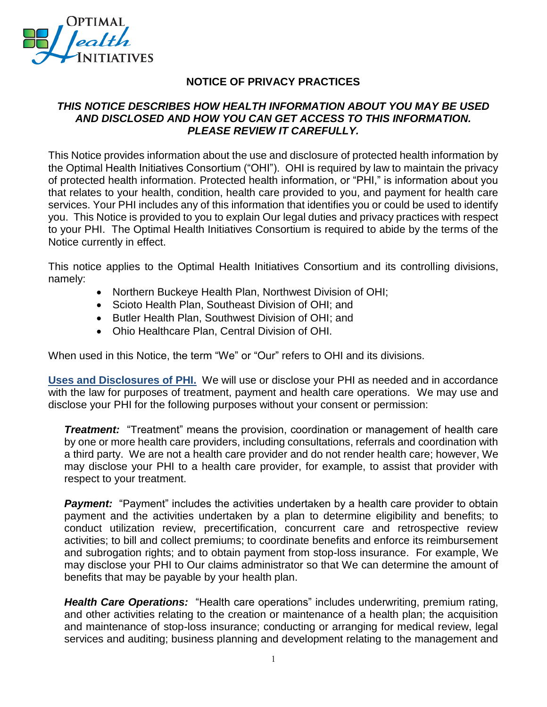

## **NOTICE OF PRIVACY PRACTICES**

## *THIS NOTICE DESCRIBES HOW HEALTH INFORMATION ABOUT YOU MAY BE USED AND DISCLOSED AND HOW YOU CAN GET ACCESS TO THIS INFORMATION. PLEASE REVIEW IT CAREFULLY.*

This Notice provides information about the use and disclosure of protected health information by the Optimal Health Initiatives Consortium ("OHI"). OHI is required by law to maintain the privacy of protected health information. Protected health information, or "PHI," is information about you that relates to your health, condition, health care provided to you, and payment for health care services. Your PHI includes any of this information that identifies you or could be used to identify you. This Notice is provided to you to explain Our legal duties and privacy practices with respect to your PHI. The Optimal Health Initiatives Consortium is required to abide by the terms of the Notice currently in effect.

This notice applies to the Optimal Health Initiatives Consortium and its controlling divisions, namely:

- Northern Buckeye Health Plan, Northwest Division of OHI;
- Scioto Health Plan, Southeast Division of OHI; and
- Butler Health Plan, Southwest Division of OHI; and
- Ohio Healthcare Plan, Central Division of OHI.

When used in this Notice, the term "We" or "Our" refers to OHI and its divisions.

**Uses and Disclosures of PHI.** We will use or disclose your PHI as needed and in accordance with the law for purposes of treatment, payment and health care operations. We may use and disclose your PHI for the following purposes without your consent or permission:

**Treatment:** "Treatment" means the provision, coordination or management of health care by one or more health care providers, including consultations, referrals and coordination with a third party. We are not a health care provider and do not render health care; however, We may disclose your PHI to a health care provider, for example, to assist that provider with respect to your treatment.

**Payment:** "Payment" includes the activities undertaken by a health care provider to obtain payment and the activities undertaken by a plan to determine eligibility and benefits; to conduct utilization review, precertification, concurrent care and retrospective review activities; to bill and collect premiums; to coordinate benefits and enforce its reimbursement and subrogation rights; and to obtain payment from stop-loss insurance. For example, We may disclose your PHI to Our claims administrator so that We can determine the amount of benefits that may be payable by your health plan.

*Health Care Operations:* "Health care operations" includes underwriting, premium rating, and other activities relating to the creation or maintenance of a health plan; the acquisition and maintenance of stop-loss insurance; conducting or arranging for medical review, legal services and auditing; business planning and development relating to the management and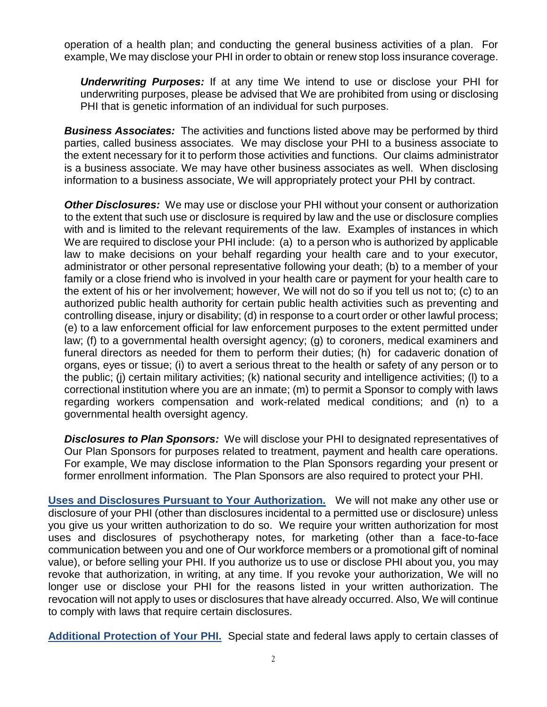operation of a health plan; and conducting the general business activities of a plan. For example, We may disclose your PHI in order to obtain or renew stop loss insurance coverage.

*Underwriting Purposes:* If at any time We intend to use or disclose your PHI for underwriting purposes, please be advised that We are prohibited from using or disclosing PHI that is genetic information of an individual for such purposes.

*Business Associates:* The activities and functions listed above may be performed by third parties, called business associates. We may disclose your PHI to a business associate to the extent necessary for it to perform those activities and functions. Our claims administrator is a business associate. We may have other business associates as well. When disclosing information to a business associate, We will appropriately protect your PHI by contract.

*Other Disclosures:* We may use or disclose your PHI without your consent or authorization to the extent that such use or disclosure is required by law and the use or disclosure complies with and is limited to the relevant requirements of the law. Examples of instances in which We are required to disclose your PHI include: (a) to a person who is authorized by applicable law to make decisions on your behalf regarding your health care and to your executor, administrator or other personal representative following your death; (b) to a member of your family or a close friend who is involved in your health care or payment for your health care to the extent of his or her involvement; however, We will not do so if you tell us not to; (c) to an authorized public health authority for certain public health activities such as preventing and controlling disease, injury or disability; (d) in response to a court order or other lawful process; (e) to a law enforcement official for law enforcement purposes to the extent permitted under law; (f) to a governmental health oversight agency; (g) to coroners, medical examiners and funeral directors as needed for them to perform their duties; (h) for cadaveric donation of organs, eyes or tissue; (i) to avert a serious threat to the health or safety of any person or to the public; (j) certain military activities; (k) national security and intelligence activities; (l) to a correctional institution where you are an inmate; (m) to permit a Sponsor to comply with laws regarding workers compensation and work-related medical conditions; and (n) to a governmental health oversight agency.

*Disclosures to Plan Sponsors:* We will disclose your PHI to designated representatives of Our Plan Sponsors for purposes related to treatment, payment and health care operations. For example, We may disclose information to the Plan Sponsors regarding your present or former enrollment information. The Plan Sponsors are also required to protect your PHI.

**Uses and Disclosures Pursuant to Your Authorization.** We will not make any other use or disclosure of your PHI (other than disclosures incidental to a permitted use or disclosure) unless you give us your written authorization to do so. We require your written authorization for most uses and disclosures of psychotherapy notes, for marketing (other than a face-to-face communication between you and one of Our workforce members or a promotional gift of nominal value), or before selling your PHI. If you authorize us to use or disclose PHI about you, you may revoke that authorization, in writing, at any time. If you revoke your authorization, We will no longer use or disclose your PHI for the reasons listed in your written authorization. The revocation will not apply to uses or disclosures that have already occurred. Also, We will continue to comply with laws that require certain disclosures.

**Additional Protection of Your PHI.** Special state and federal laws apply to certain classes of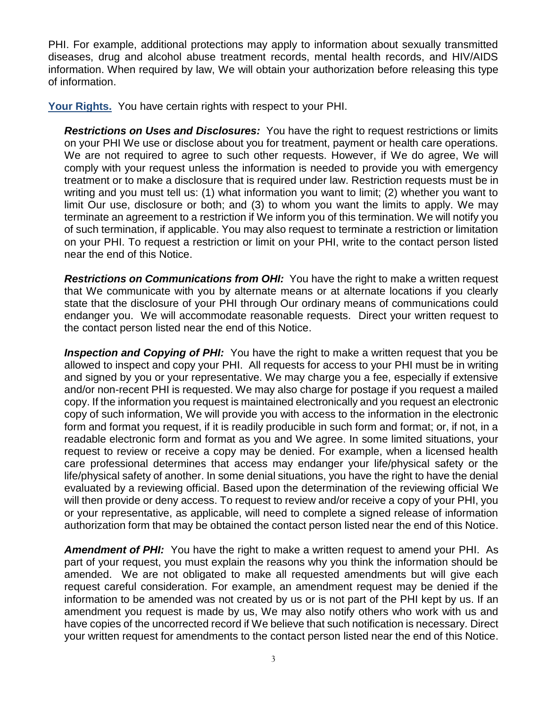PHI. For example, additional protections may apply to information about sexually transmitted diseases, drug and alcohol abuse treatment records, mental health records, and HIV/AIDS information. When required by law, We will obtain your authorization before releasing this type of information.

**Your Rights.** You have certain rights with respect to your PHI.

*Restrictions on Uses and Disclosures:* You have the right to request restrictions or limits on your PHI We use or disclose about you for treatment, payment or health care operations. We are not required to agree to such other requests. However, if We do agree, We will comply with your request unless the information is needed to provide you with emergency treatment or to make a disclosure that is required under law. Restriction requests must be in writing and you must tell us: (1) what information you want to limit; (2) whether you want to limit Our use, disclosure or both; and (3) to whom you want the limits to apply. We may terminate an agreement to a restriction if We inform you of this termination. We will notify you of such termination, if applicable. You may also request to terminate a restriction or limitation on your PHI. To request a restriction or limit on your PHI, write to the contact person listed near the end of this Notice.

**Restrictions on Communications from OHI:** You have the right to make a written request that We communicate with you by alternate means or at alternate locations if you clearly state that the disclosure of your PHI through Our ordinary means of communications could endanger you. We will accommodate reasonable requests. Direct your written request to the contact person listed near the end of this Notice.

**Inspection and Copying of PHI:** You have the right to make a written request that you be allowed to inspect and copy your PHI. All requests for access to your PHI must be in writing and signed by you or your representative. We may charge you a fee, especially if extensive and/or non-recent PHI is requested. We may also charge for postage if you request a mailed copy. If the information you request is maintained electronically and you request an electronic copy of such information, We will provide you with access to the information in the electronic form and format you request, if it is readily producible in such form and format; or, if not, in a readable electronic form and format as you and We agree. In some limited situations, your request to review or receive a copy may be denied. For example, when a licensed health care professional determines that access may endanger your life/physical safety or the life/physical safety of another. In some denial situations, you have the right to have the denial evaluated by a reviewing official. Based upon the determination of the reviewing official We will then provide or deny access. To request to review and/or receive a copy of your PHI, you or your representative, as applicable, will need to complete a signed release of information authorization form that may be obtained the contact person listed near the end of this Notice.

**Amendment of PHI:** You have the right to make a written request to amend your PHI. As part of your request, you must explain the reasons why you think the information should be amended. We are not obligated to make all requested amendments but will give each request careful consideration. For example, an amendment request may be denied if the information to be amended was not created by us or is not part of the PHI kept by us. If an amendment you request is made by us, We may also notify others who work with us and have copies of the uncorrected record if We believe that such notification is necessary. Direct your written request for amendments to the contact person listed near the end of this Notice.